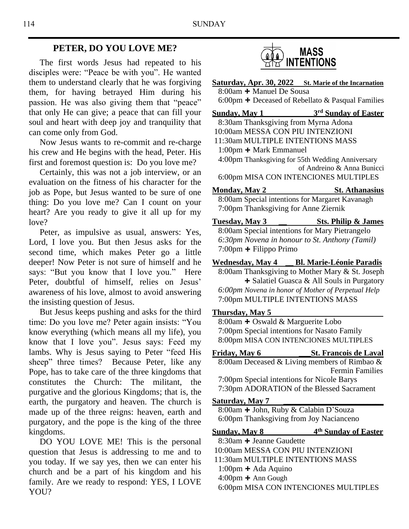### **PETER, DO YOU LOVE ME?**

 The first words Jesus had repeated to his disciples were: "Peace be with you". He wanted them to understand clearly that he was forgiving them, for having betrayed Him during his passion. He was also giving them that "peace" that only He can give; a peace that can fill your soul and heart with deep joy and tranquility that can come only from God.

 Now Jesus wants to re-commit and re-charge his crew and He begins with the head, Peter. His first and foremost question is: Do you love me?

 Certainly, this was not a job interview, or an evaluation on the fitness of his character for the job as Pope, but Jesus wanted to be sure of one thing: Do you love me? Can I count on your heart? Are you ready to give it all up for my love?

 Peter, as impulsive as usual, answers: Yes, Lord, I love you. But then Jesus asks for the second time, which makes Peter go a little deeper! Now Peter is not sure of himself and he says: "But you know that I love you." Here Peter, doubtful of himself, relies on Jesus' awareness of his love, almost to avoid answering the insisting question of Jesus.

 But Jesus keeps pushing and asks for the third time: Do you love me? Peter again insists: "You know everything (which means all my life), you know that I love you". Jesus says: Feed my lambs. Why is Jesus saying to Peter "feed His sheep" three times? Because Peter, like any Pope, has to take care of the three kingdoms that constitutes the Church: The militant, the purgative and the glorious Kingdoms; that is, the earth, the purgatory and heaven. The church is made up of the three reigns: heaven, earth and purgatory, and the pope is the king of the three kingdoms.

 DO YOU LOVE ME! This is the personal question that Jesus is addressing to me and to you today. If we say yes, then we can enter his church and be a part of his kingdom and his family. Are we ready to respond: YES, I LOVE YOU?



| <b>Saturday, Apr. 30, 2022</b> St. Marie of the Incarnation                                  |                                                                              |
|----------------------------------------------------------------------------------------------|------------------------------------------------------------------------------|
| 8:00am + Manuel De Sousa                                                                     |                                                                              |
|                                                                                              | 6:00pm $\pm$ Deceased of Rebellato & Pasqual Families                        |
| <b>Sunday, May 1</b>                                                                         | <b>3rd Sunday of Easter</b>                                                  |
| 8:30am Thanksgiving from Myrna Adona                                                         |                                                                              |
| 10:00am MESSA CON PIU INTENZIONI<br>11:30am MULTIPLE INTENTIONS MASS                         |                                                                              |
| 1:00pm $+$ Mark Emmanuel                                                                     |                                                                              |
| 4:00pm Thanksgiving for 55th Wedding Anniversary                                             |                                                                              |
|                                                                                              | of Andreino & Anna Bunicci                                                   |
| 6:00pm MISA CON INTENCIONES MULTIPLES                                                        |                                                                              |
| <u>Monday, May 2</u>                                                                         | <b>St. Athanasius</b>                                                        |
| 8:00am Special intentions for Margaret Kavanagh                                              |                                                                              |
| 7:00pm Thanksgiving for Anne Ziernik                                                         |                                                                              |
| <b>Tuesday, May 3</b>                                                                        | Sts. Philip & James                                                          |
| 8:00am Special intentions for Mary Pietrangelo                                               |                                                                              |
| 6:30pm Novena in honour to St. Anthony (Tamil)                                               |                                                                              |
| $7:00$ pm + Filippo Primo                                                                    |                                                                              |
| Wednesday, May 4 Bl. Marie-Léonie Paradis<br>8:00am Thanksgiving to Mother Mary & St. Joseph |                                                                              |
|                                                                                              | + Salatiel Guasca & All Souls in Purgatory                                   |
| 6:00pm Novena in honor of Mother of Perpetual Help                                           |                                                                              |
| 7:00pm MULTIPLE INTENTIONS MASS                                                              |                                                                              |
| Thursday, May 5                                                                              |                                                                              |
| 8:00am + Oswald & Marguerite Lobo                                                            |                                                                              |
| 7:00pm Special intentions for Nasato Family<br>8:00pm MISA CON INTENCIONES MULTIPLES         |                                                                              |
|                                                                                              |                                                                              |
| Friday, May 6                                                                                | <b>St. Francois de Laval</b><br>8:00am Deceased & Living members of Rimbao & |
|                                                                                              | <b>Fermin Families</b>                                                       |
| 7:00pm Special intentions for Nicole Barys                                                   |                                                                              |
| 7:30pm ADORATION of the Blessed Sacrament                                                    |                                                                              |
| <b>Saturday, May 7</b>                                                                       |                                                                              |
| 8:00am + John, Ruby & Calabin D'Souza                                                        |                                                                              |
| 6:00pm Thanksgiving from Joy Nacianceno                                                      |                                                                              |
| <u>Sunday, May 8</u>                                                                         | 4 <sup>th</sup> Sunday of Easter                                             |
| 8:30am + Jeanne Gaudette                                                                     |                                                                              |
| 10:00am MESSA CON PIU INTENZIONI                                                             |                                                                              |
| 11:30am MULTIPLE INTENTIONS MASS                                                             |                                                                              |
| $1:00$ pm $\pm$ Ada Aquino                                                                   |                                                                              |

4:00pm **+** Ann Gough

6:00pm MISA CON INTENCIONES MULTIPLES